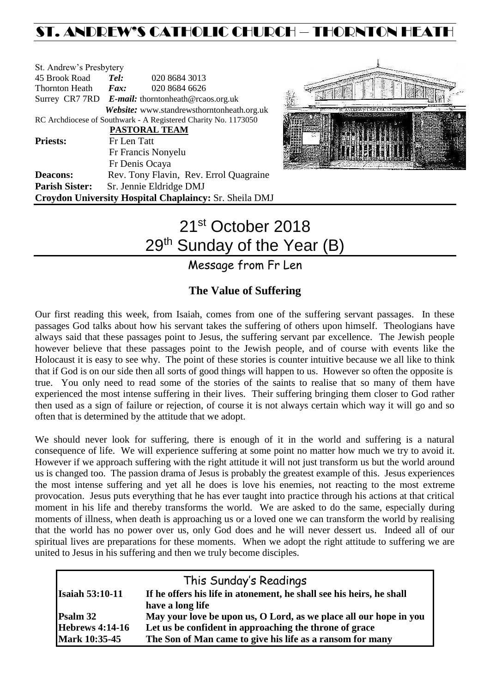# ST. ANDREW'S CATHOLIC CHURCH – THORNTON HEAT

| St. Andrew's Presbytery                                        |                                                   |                                                        |  |  |  |
|----------------------------------------------------------------|---------------------------------------------------|--------------------------------------------------------|--|--|--|
| 45 Brook Road                                                  | Tel:                                              | 020 8684 3013                                          |  |  |  |
| Thornton Heath                                                 | Fax:                                              | 020 8684 6626                                          |  |  |  |
|                                                                | Surrey CR7 7RD E-mail: thorntonheath@rcaos.org.uk |                                                        |  |  |  |
|                                                                |                                                   | Website: www.standrewsthorntonheath.org.uk             |  |  |  |
| RC Archdiocese of Southwark - A Registered Charity No. 1173050 |                                                   |                                                        |  |  |  |
|                                                                |                                                   | PASTORAL TEAM                                          |  |  |  |
| <b>Priests:</b>                                                | Fr Len Tatt                                       |                                                        |  |  |  |
|                                                                | Fr Francis Nonyelu                                |                                                        |  |  |  |
|                                                                | Fr Denis Ocaya                                    |                                                        |  |  |  |
| <b>Deacons:</b>                                                |                                                   | Rev. Tony Flavin, Rev. Errol Quagraine                 |  |  |  |
| <b>Parish Sister:</b>                                          |                                                   | Sr. Jennie Eldridge DMJ                                |  |  |  |
|                                                                |                                                   | Croydon University Hospital Chaplaincy: Sr. Sheila DMJ |  |  |  |



# 21<sup>st</sup> October 2018 29<sup>th</sup> Sunday of the Year (B)

### Message from Fr Len

### **The Value of Suffering**

Our first reading this week, from Isaiah, comes from one of the suffering servant passages. In these passages God talks about how his servant takes the suffering of others upon himself. Theologians have always said that these passages point to Jesus, the suffering servant par excellence. The Jewish people however believe that these passages point to the Jewish people, and of course with events like the Holocaust it is easy to see why. The point of these stories is counter intuitive because we all like to think that if God is on our side then all sorts of good things will happen to us. However so often the opposite is true. You only need to read some of the stories of the saints to realise that so many of them have experienced the most intense suffering in their lives. Their suffering bringing them closer to God rather then used as a sign of failure or rejection, of course it is not always certain which way it will go and so often that is determined by the attitude that we adopt.

We should never look for suffering, there is enough of it in the world and suffering is a natural consequence of life. We will experience suffering at some point no matter how much we try to avoid it. However if we approach suffering with the right attitude it will not just transform us but the world around us is changed too. The passion drama of Jesus is probably the greatest example of this. Jesus experiences the most intense suffering and yet all he does is love his enemies, not reacting to the most extreme provocation. Jesus puts everything that he has ever taught into practice through his actions at that critical moment in his life and thereby transforms the world. We are asked to do the same, especially during moments of illness, when death is approaching us or a loved one we can transform the world by realising that the world has no power over us, only God does and he will never dessert us. Indeed all of our spiritual lives are preparations for these moments. When we adopt the right attitude to suffering we are united to Jesus in his suffering and then we truly become disciples.

|                        | This Sunday's Readings                                               |  |
|------------------------|----------------------------------------------------------------------|--|
| <b>Isaiah 53:10-11</b> | If he offers his life in atonement, he shall see his heirs, he shall |  |
|                        | have a long life                                                     |  |
| Psalm 32               | May your love be upon us, O Lord, as we place all our hope in you    |  |
| <b>Hebrews 4:14-16</b> | Let us be confident in approaching the throne of grace               |  |
| Mark 10:35-45          | The Son of Man came to give his life as a ransom for many            |  |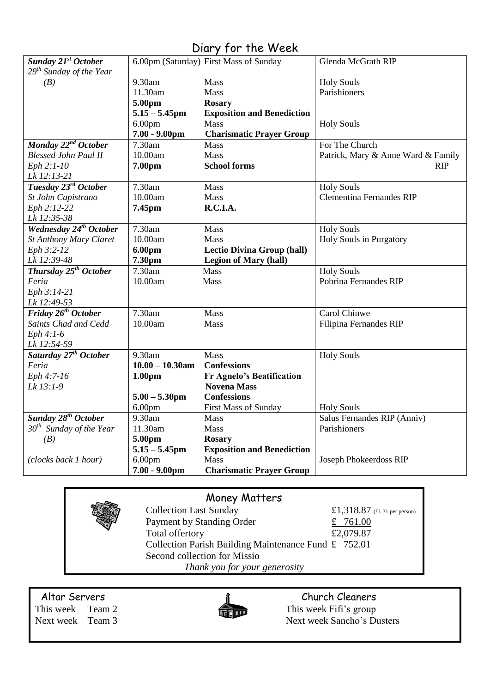| <b>DIG Y TOT THE WEEK</b>          |                    |                                        |                                    |  |  |
|------------------------------------|--------------------|----------------------------------------|------------------------------------|--|--|
| Sunday 21 <sup>st</sup> October    |                    | 6.00pm (Saturday) First Mass of Sunday | Glenda McGrath RIP                 |  |  |
| $29th$ Sunday of the Year          |                    |                                        |                                    |  |  |
| (B)                                | 9.30am             | Mass                                   | <b>Holy Souls</b>                  |  |  |
|                                    | 11.30am            | Mass                                   | Parishioners                       |  |  |
|                                    | 5.00pm             | <b>Rosary</b>                          |                                    |  |  |
|                                    | $5.15 - 5.45$ pm   | <b>Exposition and Benediction</b>      |                                    |  |  |
|                                    | 6.00 <sub>pm</sub> | Mass                                   | <b>Holy Souls</b>                  |  |  |
|                                    | $7.00 - 9.00$ pm   | <b>Charismatic Prayer Group</b>        |                                    |  |  |
| Monday 22 <sup>nd</sup> October    | 7.30am             | Mass                                   | For The Church                     |  |  |
| <b>Blessed John Paul II</b>        | 10.00am            | Mass                                   | Patrick, Mary & Anne Ward & Family |  |  |
| Eph 2:1-10                         | 7.00pm             | <b>School forms</b>                    | <b>RIP</b>                         |  |  |
| Lk 12:13-21                        |                    |                                        |                                    |  |  |
| Tuesday 23rd October               | 7.30am             | Mass                                   | <b>Holy Souls</b>                  |  |  |
| St John Capistrano                 | 10.00am            | <b>Mass</b>                            | <b>Clementina Fernandes RIP</b>    |  |  |
| Eph 2:12-22                        | 7.45pm             | R.C.I.A.                               |                                    |  |  |
| Lk 12:35-38                        |                    |                                        |                                    |  |  |
| Wednesday 24 <sup>th</sup> October | 7.30am             | Mass                                   | <b>Holy Souls</b>                  |  |  |
| <b>St Anthony Mary Claret</b>      | 10.00am            | Mass                                   | <b>Holy Souls in Purgatory</b>     |  |  |
| Eph 3:2-12                         | 6.00pm             | <b>Lectio Divina Group (hall)</b>      |                                    |  |  |
| Lk 12:39-48                        | 7.30pm             | <b>Legion of Mary (hall)</b>           |                                    |  |  |
| Thursday 25 <sup>th</sup> October  | 7.30am             | <b>Mass</b>                            | <b>Holy Souls</b>                  |  |  |
| Feria                              | 10.00am            | Mass                                   | Pobrina Fernandes RIP              |  |  |
| Eph 3:14-21                        |                    |                                        |                                    |  |  |
| Lk 12:49-53                        |                    |                                        |                                    |  |  |
| Friday 26 <sup>th</sup> October    | 7.30am             | Mass                                   | Carol Chinwe                       |  |  |
| Saints Chad and Cedd               | 10.00am            | Mass                                   | Filipina Fernandes RIP             |  |  |
| $Eph 4:1-6$                        |                    |                                        |                                    |  |  |
| Lk 12:54-59                        |                    |                                        |                                    |  |  |
| Saturday 27 <sup>th</sup> October  | 9.30am             | Mass                                   | <b>Holy Souls</b>                  |  |  |
| Feria                              | $10.00 - 10.30$ am | <b>Confessions</b>                     |                                    |  |  |
| Eph 4:7-16                         | 1.00 <sub>pm</sub> | <b>Fr Agnelo's Beatification</b>       |                                    |  |  |
| Lk 13:1-9                          |                    | <b>Novena Mass</b>                     |                                    |  |  |
|                                    | $5.00 - 5.30$ pm   | <b>Confessions</b>                     |                                    |  |  |
|                                    | 6.00 <sub>pm</sub> | <b>First Mass of Sunday</b>            | <b>Holy Souls</b>                  |  |  |
| Sunday 28 <sup>th</sup> October    | 9.30am             | <b>Mass</b>                            | Salus Fernandes RIP (Anniv)        |  |  |
| $30th$ Sunday of the Year          | 11.30am            | Mass                                   | Parishioners                       |  |  |
| (B)                                | 5.00pm             | <b>Rosary</b>                          |                                    |  |  |
|                                    | $5.15 - 5.45$ pm   | <b>Exposition and Benediction</b>      |                                    |  |  |
| (clocks back 1 hour)               | 6.00 <sub>pm</sub> | Mass                                   | Joseph Phokeerdoss RIP             |  |  |
|                                    | $7.00 - 9.00$ pm   | <b>Charismatic Prayer Group</b>        |                                    |  |  |
|                                    |                    |                                        |                                    |  |  |

### Diary for the Week

## Money Matters

Collection Last Sunday<br>
Payment by Standing Order<br>
<u>£ 761.00</u> Payment by Standing Order<br>
Total offertory<br>  $\frac{\text{£} \quad 761.00}{\text{£}2,079.87}$ Total offertory Collection Parish Building Maintenance Fund £ 752.01 Second collection for Missio *Thank you for your generosity*

Altar Servers and the church Cleaners and the Church Cleaners



This week Team 2 This week Fifi's group Next week Team 3 Next week Sancho's Dusters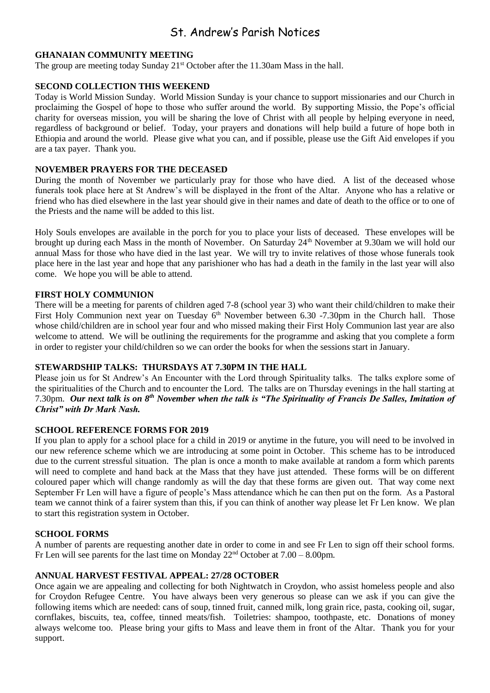### St. Andrew's Parish Notices

#### **GHANAIAN COMMUNITY MEETING**

The group are meeting today Sunday  $21<sup>st</sup>$  October after the 11.30am Mass in the hall.

#### **SECOND COLLECTION THIS WEEKEND**

Today is World Mission Sunday. World Mission Sunday is your chance to support missionaries and our Church in proclaiming the Gospel of hope to those who suffer around the world. By supporting Missio, the Pope's official charity for overseas mission, you will be sharing the love of Christ with all people by helping everyone in need, regardless of background or belief. Today, your prayers and donations will help build a future of hope both in Ethiopia and around the world. Please give what you can, and if possible, please use the Gift Aid envelopes if you are a tax payer. Thank you.

#### **NOVEMBER PRAYERS FOR THE DECEASED**

During the month of November we particularly pray for those who have died. A list of the deceased whose funerals took place here at St Andrew's will be displayed in the front of the Altar. Anyone who has a relative or friend who has died elsewhere in the last year should give in their names and date of death to the office or to one of the Priests and the name will be added to this list.

Holy Souls envelopes are available in the porch for you to place your lists of deceased. These envelopes will be brought up during each Mass in the month of November. On Saturday 24<sup>th</sup> November at 9.30am we will hold our annual Mass for those who have died in the last year. We will try to invite relatives of those whose funerals took place here in the last year and hope that any parishioner who has had a death in the family in the last year will also come. We hope you will be able to attend.

#### **FIRST HOLY COMMUNION**

There will be a meeting for parents of children aged 7-8 (school year 3) who want their child/children to make their First Holy Communion next year on Tuesday 6<sup>th</sup> November between 6.30 -7.30pm in the Church hall. Those whose child/children are in school year four and who missed making their First Holy Communion last year are also welcome to attend. We will be outlining the requirements for the programme and asking that you complete a form in order to register your child/children so we can order the books for when the sessions start in January.

#### **STEWARDSHIP TALKS: THURSDAYS AT 7.30PM IN THE HALL**

Please join us for St Andrew's An Encounter with the Lord through Spirituality talks. The talks explore some of the spiritualities of the Church and to encounter the Lord. The talks are on Thursday evenings in the hall starting at 7.30pm. *Our next talk is on 8th November when the talk is "The Spirituality of Francis De Salles, Imitation of Christ" with Dr Mark Nash.*

#### **SCHOOL REFERENCE FORMS FOR 2019**

If you plan to apply for a school place for a child in 2019 or anytime in the future, you will need to be involved in our new reference scheme which we are introducing at some point in October. This scheme has to be introduced due to the current stressful situation. The plan is once a month to make available at random a form which parents will need to complete and hand back at the Mass that they have just attended. These forms will be on different coloured paper which will change randomly as will the day that these forms are given out. That way come next September Fr Len will have a figure of people's Mass attendance which he can then put on the form. As a Pastoral team we cannot think of a fairer system than this, if you can think of another way please let Fr Len know. We plan to start this registration system in October.

#### **SCHOOL FORMS**

A number of parents are requesting another date in order to come in and see Fr Len to sign off their school forms. Fr Len will see parents for the last time on Monday  $22<sup>nd</sup>$  October at  $7.00 - 8.00$ pm.

#### **ANNUAL HARVEST FESTIVAL APPEAL: 27/28 OCTOBER**

Once again we are appealing and collecting for both Nightwatch in Croydon, who assist homeless people and also for Croydon Refugee Centre. You have always been very generous so please can we ask if you can give the following items which are needed: cans of soup, tinned fruit, canned milk, long grain rice, pasta, cooking oil, sugar, cornflakes, biscuits, tea, coffee, tinned meats/fish. Toiletries: shampoo, toothpaste, etc. Donations of money always welcome too. Please bring your gifts to Mass and leave them in front of the Altar. Thank you for your support.